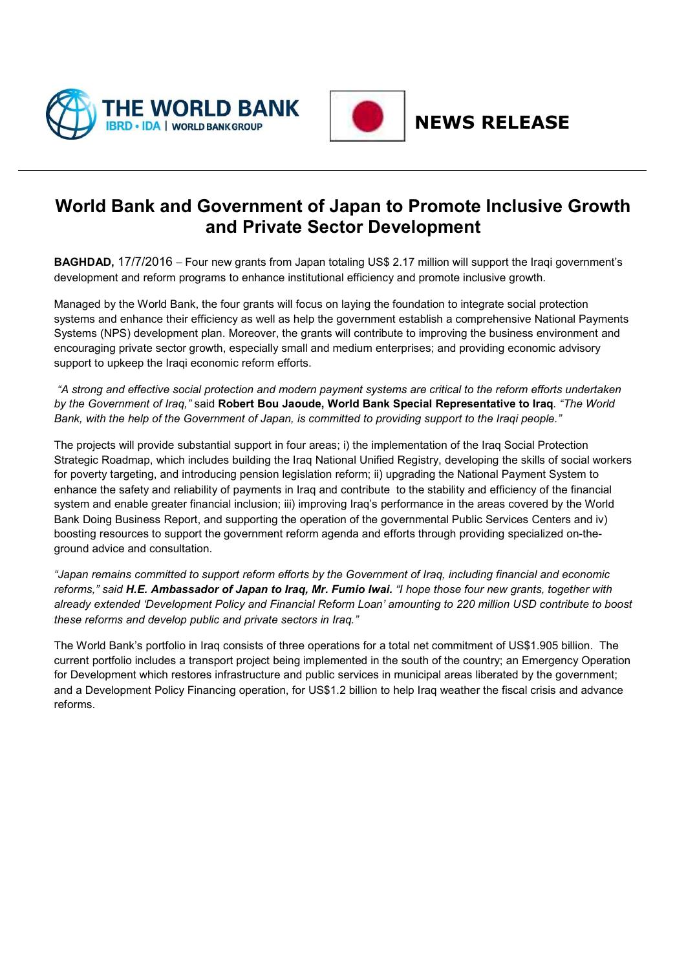



## **NEWS RELEASE**

## **World Bank and Government of Japan to Promote Inclusive Growth and Private Sector Development**

**BAGHDAD,** 17/7/2016 – Four new grants from Japan totaling US\$ 2.17 million will support the Iraqi government's development and reform programs to enhance institutional efficiency and promote inclusive growth.

Managed by the World Bank, the four grants will focus on laying the foundation to integrate social protection systems and enhance their efficiency as well as help the government establish a comprehensive National Payments Systems (NPS) development plan. Moreover, the grants will contribute to improving the business environment and encouraging private sector growth, especially small and medium enterprises; and providing economic advisory support to upkeep the Iraqi economic reform efforts.

"A strong and effective social protection and modern payment systems are critical to the reform efforts undertaken *by the Government of Iraq,"* said **Robert Bou Jaoude, World Bank Special Representative to Iraq**. *"The World* Bank, with the help of the Government of Japan, is committed to providing support to the Iraqi people."

The projects will provide substantial support in four areas; i) the implementation of the Iraq Social Protection Strategic Roadmap, which includes building the Iraq National Unified Registry, developing the skills of social workers for poverty targeting, and introducing pension legislation reform; ii) upgrading the National Payment System to enhance the safety and reliability of payments in Iraq and contribute to the stability and efficiency of the financial system and enable greater financial inclusion; iii) improving Iraq's performance in the areas covered by the World Bank Doing Business Report, and supporting the operation of the governmental Public Services Centers and iv) boosting resources to support the government reform agenda and efforts through providing specialized on-theground advice and consultation.

*"Japan remains committed to support reform efforts by the Government of Iraq, including financial and economic* reforms," said H.E. Ambassador of Japan to Iraq, Mr. Fumio Iwai. "I hope those four new grants, together with *already extended 'Development Policy and Financial Reform Loan' amounting to 220 million USD contribute to boost these reforms and develop public and private sectors in Iraq."*

The World Bank's portfolio in Iraq consists of three operations for a total net commitment of US\$1.905 billion. The current portfolio includes a transport project being implemented in the south of the country; an Emergency Operation for Development which restores infrastructure and public services in municipal areas liberated by the government; and a Development Policy Financing operation, for US\$1.2 billion to help Iraq weather the fiscal crisis and advance reforms.